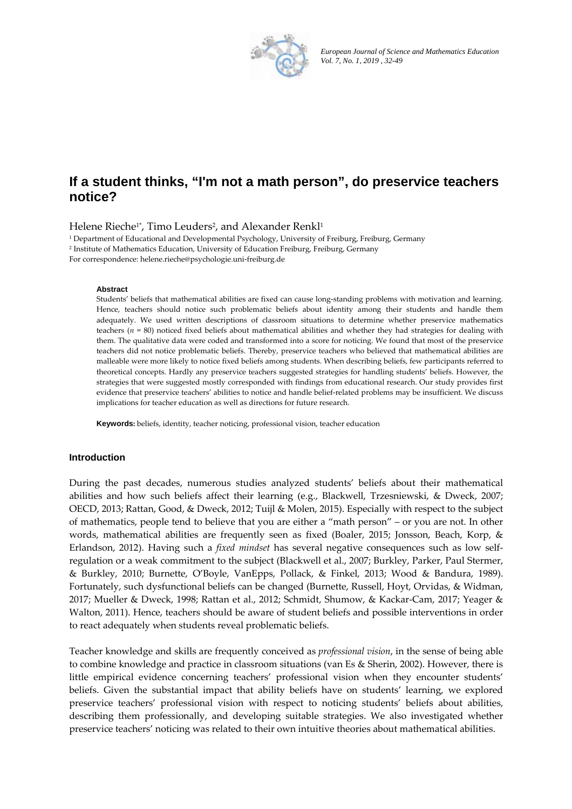

*European Journal of Science and Mathematics Education Vol. 7, No. 1, 2019 , 32-49*

# **If a student thinks, "I'm not a math person", do preservice teachers notice?**

Helene Rieche<sup>1\*</sup>, Timo Leuders<sup>2</sup>, and Alexander Renkl<sup>1</sup>

<sup>1</sup> Department of Educational and Developmental Psychology, University of Freiburg, Freiburg, Germany <sup>2</sup> Institute of Mathematics Education, University of Education Freiburg, Freiburg, Germany For correspondence: helene.rieche@psychologie.uni‐freiburg.de

#### **Abstract**

Students' beliefs that mathematical abilities are fixed can cause long‐standing problems with motivation and learning. Hence, teachers should notice such problematic beliefs about identity among their students and handle them adequately. We used written descriptions of classroom situations to determine whether preservice mathematics teachers (*n* = 80) noticed fixed beliefs about mathematical abilities and whether they had strategies for dealing with them. The qualitative data were coded and transformed into a score for noticing. We found that most of the preservice teachers did not notice problematic beliefs. Thereby, preservice teachers who believed that mathematical abilities are malleable were more likely to notice fixed beliefs among students. When describing beliefs, few participants referred to theoretical concepts. Hardly any preservice teachers suggested strategies for handling students' beliefs. However, the strategies that were suggested mostly corresponded with findings from educational research. Our study provides first evidence that preservice teachers' abilities to notice and handle belief-related problems may be insufficient. We discuss implications for teacher education as well as directions for future research.

**Keywords:** beliefs, identity, teacher noticing, professional vision, teacher education

#### **Introduction**

During the past decades, numerous studies analyzed students' beliefs about their mathematical abilities and how such beliefs affect their learning (e.g., Blackwell, Trzesniewski, & Dweck, 2007; OECD, 2013; Rattan, Good, & Dweck, 2012; Tuijl & Molen, 2015). Especially with respect to the subject of mathematics, people tend to believe that you are either a "math person" – or you are not. In other words, mathematical abilities are frequently seen as fixed (Boaler, 2015; Jonsson, Beach, Korp, & Erlandson, 2012). Having such a *fixed mindset* has several negative consequences such as low self‐ regulation or a weak commitment to the subject (Blackwell et al., 2007; Burkley, Parker, Paul Stermer, & Burkley, 2010; Burnette, O'Boyle, VanEpps, Pollack, & Finkel, 2013; Wood & Bandura, 1989). Fortunately, such dysfunctional beliefs can be changed (Burnette, Russell, Hoyt, Orvidas, & Widman, 2017; Mueller & Dweck, 1998; Rattan et al., 2012; Schmidt, Shumow, & Kackar‐Cam, 2017; Yeager & Walton, 2011). Hence, teachers should be aware of student beliefs and possible interventions in order to react adequately when students reveal problematic beliefs.

Teacher knowledge and skills are frequently conceived as *professional vision*, in the sense of being able to combine knowledge and practice in classroom situations (van Es & Sherin, 2002). However, there is little empirical evidence concerning teachers' professional vision when they encounter students' beliefs. Given the substantial impact that ability beliefs have on students' learning, we explored preservice teachers' professional vision with respect to noticing students' beliefs about abilities, describing them professionally, and developing suitable strategies. We also investigated whether preservice teachers' noticing was related to their own intuitive theories about mathematical abilities.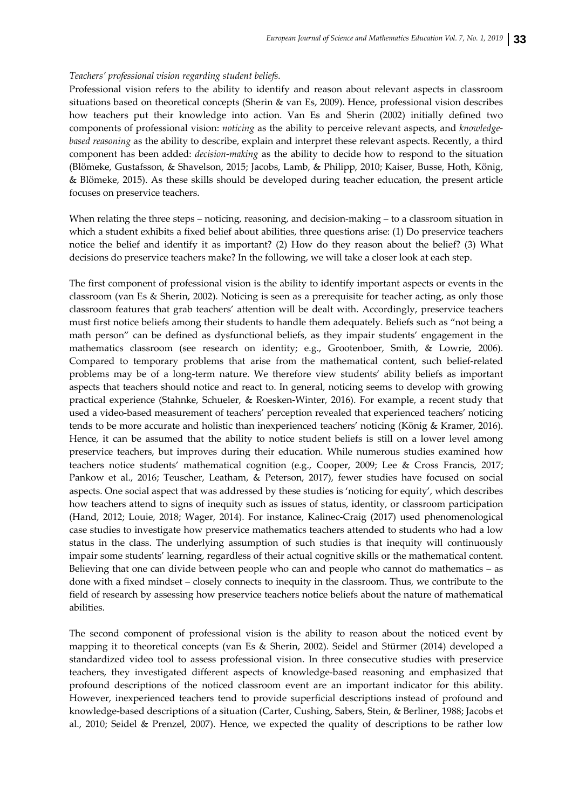### *Teachers' professional vision regarding student beliefs.*

Professional vision refers to the ability to identify and reason about relevant aspects in classroom situations based on theoretical concepts (Sherin & van Es, 2009). Hence, professional vision describes how teachers put their knowledge into action. Van Es and Sherin (2002) initially defined two components of professional vision: *noticing* as the ability to perceive relevant aspects, and *knowledge‐ based reasoning* as the ability to describe, explain and interpret these relevant aspects. Recently, a third component has been added: *decision‐making* as the ability to decide how to respond to the situation (Blömeke, Gustafsson, & Shavelson, 2015; Jacobs, Lamb, & Philipp, 2010; Kaiser, Busse, Hoth, König, & Blömeke, 2015). As these skills should be developed during teacher education, the present article focuses on preservice teachers.

When relating the three steps – noticing, reasoning, and decision-making – to a classroom situation in which a student exhibits a fixed belief about abilities, three questions arise: (1) Do preservice teachers notice the belief and identify it as important? (2) How do they reason about the belief? (3) What decisions do preservice teachers make? In the following, we will take a closer look at each step.

The first component of professional vision is the ability to identify important aspects or events in the classroom (van Es & Sherin, 2002). Noticing is seen as a prerequisite for teacher acting, as only those classroom features that grab teachers' attention will be dealt with. Accordingly, preservice teachers must first notice beliefs among their students to handle them adequately. Beliefs such as "not being a math person" can be defined as dysfunctional beliefs, as they impair students' engagement in the mathematics classroom (see research on identity; e.g., Grootenboer, Smith, & Lowrie, 2006). Compared to temporary problems that arise from the mathematical content, such belief-related problems may be of a long‐term nature. We therefore view students' ability beliefs as important aspects that teachers should notice and react to. In general, noticing seems to develop with growing practical experience (Stahnke, Schueler, & Roesken‐Winter, 2016). For example, a recent study that used a video-based measurement of teachers' perception revealed that experienced teachers' noticing tends to be more accurate and holistic than inexperienced teachers' noticing (König & Kramer, 2016). Hence, it can be assumed that the ability to notice student beliefs is still on a lower level among preservice teachers, but improves during their education. While numerous studies examined how teachers notice students' mathematical cognition (e.g., Cooper, 2009; Lee & Cross Francis, 2017; Pankow et al., 2016; Teuscher, Leatham, & Peterson, 2017), fewer studies have focused on social aspects. One social aspect that was addressed by these studies is 'noticing for equity', which describes how teachers attend to signs of inequity such as issues of status, identity, or classroom participation (Hand, 2012; Louie, 2018; Wager, 2014). For instance, Kalinec‐Craig (2017) used phenomenological case studies to investigate how preservice mathematics teachers attended to students who had a low status in the class. The underlying assumption of such studies is that inequity will continuously impair some students' learning, regardless of their actual cognitive skills or the mathematical content. Believing that one can divide between people who can and people who cannot do mathematics – as done with a fixed mindset – closely connects to inequity in the classroom. Thus, we contribute to the field of research by assessing how preservice teachers notice beliefs about the nature of mathematical abilities.

The second component of professional vision is the ability to reason about the noticed event by mapping it to theoretical concepts (van Es & Sherin, 2002). Seidel and Stürmer (2014) developed a standardized video tool to assess professional vision. In three consecutive studies with preservice teachers, they investigated different aspects of knowledge‐based reasoning and emphasized that profound descriptions of the noticed classroom event are an important indicator for this ability. However, inexperienced teachers tend to provide superficial descriptions instead of profound and knowledge‐based descriptions of a situation (Carter, Cushing, Sabers, Stein, & Berliner, 1988; Jacobs et al., 2010; Seidel & Prenzel, 2007). Hence, we expected the quality of descriptions to be rather low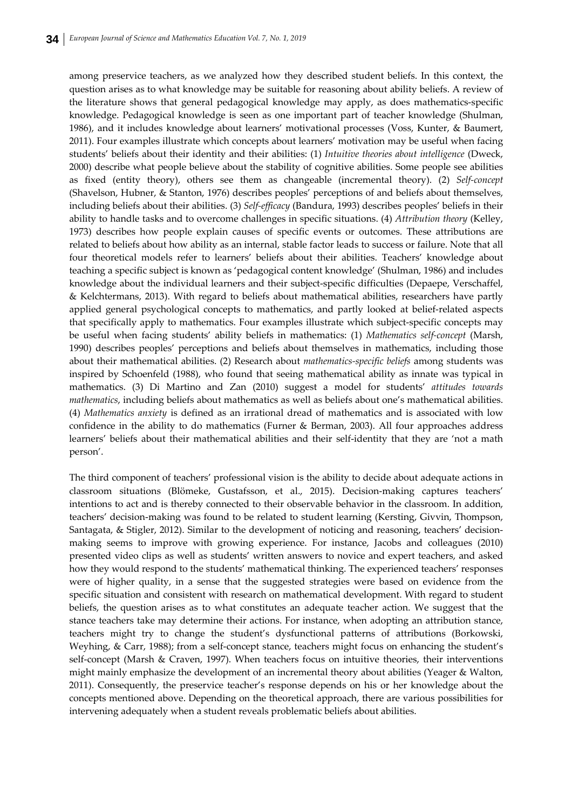among preservice teachers, as we analyzed how they described student beliefs. In this context, the question arises as to what knowledge may be suitable for reasoning about ability beliefs. A review of the literature shows that general pedagogical knowledge may apply, as does mathematics-specific knowledge. Pedagogical knowledge is seen as one important part of teacher knowledge (Shulman, 1986), and it includes knowledge about learners' motivational processes (Voss, Kunter, & Baumert, 2011). Four examples illustrate which concepts about learners' motivation may be useful when facing students' beliefs about their identity and their abilities: (1) *Intuitive theories about intelligence* (Dweck, 2000) describe what people believe about the stability of cognitive abilities. Some people see abilities as fixed (entity theory), others see them as changeable (incremental theory). (2) *Self‐concept* (Shavelson, Hubner, & Stanton, 1976) describes peoples' perceptions of and beliefs about themselves, including beliefs about their abilities. (3) *Self‐efficacy* (Bandura, 1993) describes peoples' beliefs in their ability to handle tasks and to overcome challenges in specific situations. (4) *Attribution theory* (Kelley, 1973) describes how people explain causes of specific events or outcomes. These attributions are related to beliefs about how ability as an internal, stable factor leads to success or failure. Note that all four theoretical models refer to learners' beliefs about their abilities. Teachers' knowledge about teaching a specific subject is known as 'pedagogical content knowledge' (Shulman, 1986) and includes knowledge about the individual learners and their subject‐specific difficulties (Depaepe, Verschaffel, & Kelchtermans, 2013). With regard to beliefs about mathematical abilities, researchers have partly applied general psychological concepts to mathematics, and partly looked at belief-related aspects that specifically apply to mathematics. Four examples illustrate which subject‐specific concepts may be useful when facing students' ability beliefs in mathematics: (1) *Mathematics self‐concept* (Marsh, 1990) describes peoples' perceptions and beliefs about themselves in mathematics, including those about their mathematical abilities. (2) Research about *mathematics‐specific beliefs* among students was inspired by Schoenfeld (1988), who found that seeing mathematical ability as innate was typical in mathematics. (3) Di Martino and Zan (2010) suggest a model for students' *attitudes towards mathematics*, including beliefs about mathematics as well as beliefs about one's mathematical abilities. (4) *Mathematics anxiety* is defined as an irrational dread of mathematics and is associated with low confidence in the ability to do mathematics (Furner & Berman, 2003). All four approaches address learners' beliefs about their mathematical abilities and their self‐identity that they are 'not a math person'.

The third component of teachers' professional vision is the ability to decide about adequate actions in classroom situations (Blömeke, Gustafsson, et al., 2015). Decision‐making captures teachers' intentions to act and is thereby connected to their observable behavior in the classroom. In addition, teachers' decision‐making was found to be related to student learning (Kersting, Givvin, Thompson, Santagata, & Stigler, 2012). Similar to the development of noticing and reasoning, teachers' decision‐ making seems to improve with growing experience. For instance, Jacobs and colleagues (2010) presented video clips as well as students' written answers to novice and expert teachers, and asked how they would respond to the students' mathematical thinking. The experienced teachers' responses were of higher quality, in a sense that the suggested strategies were based on evidence from the specific situation and consistent with research on mathematical development. With regard to student beliefs, the question arises as to what constitutes an adequate teacher action. We suggest that the stance teachers take may determine their actions. For instance, when adopting an attribution stance, teachers might try to change the student's dysfunctional patterns of attributions (Borkowski, Weyhing, & Carr, 1988); from a self-concept stance, teachers might focus on enhancing the student's self-concept (Marsh & Craven, 1997). When teachers focus on intuitive theories, their interventions might mainly emphasize the development of an incremental theory about abilities (Yeager & Walton, 2011). Consequently, the preservice teacher's response depends on his or her knowledge about the concepts mentioned above. Depending on the theoretical approach, there are various possibilities for intervening adequately when a student reveals problematic beliefs about abilities.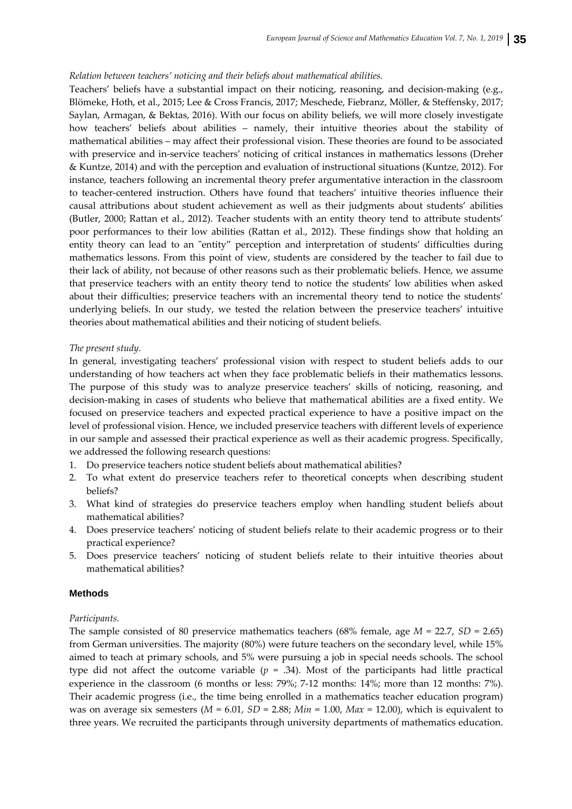#### *Relation between teachers' noticing and their beliefs about mathematical abilities.*

Teachers' beliefs have a substantial impact on their noticing, reasoning, and decision-making (e.g., Blömeke, Hoth, et al., 2015; Lee & Cross Francis, 2017; Meschede, Fiebranz, Möller, & Steffensky, 2017; Saylan, Armagan, & Bektas, 2016). With our focus on ability beliefs, we will more closely investigate how teachers' beliefs about abilities – namely, their intuitive theories about the stability of mathematical abilities – may affect their professional vision. These theories are found to be associated with preservice and in-service teachers' noticing of critical instances in mathematics lessons (Dreher & Kuntze, 2014) and with the perception and evaluation of instructional situations (Kuntze, 2012). For instance, teachers following an incremental theory prefer argumentative interaction in the classroom to teacher-centered instruction. Others have found that teachers' intuitive theories influence their causal attributions about student achievement as well as their judgments about students' abilities (Butler, 2000; Rattan et al., 2012). Teacher students with an entity theory tend to attribute students' poor performances to their low abilities (Rattan et al., 2012). These findings show that holding an entity theory can lead to an "entity" perception and interpretation of students' difficulties during mathematics lessons. From this point of view, students are considered by the teacher to fail due to their lack of ability, not because of other reasons such as their problematic beliefs. Hence, we assume that preservice teachers with an entity theory tend to notice the students' low abilities when asked about their difficulties; preservice teachers with an incremental theory tend to notice the students' underlying beliefs. In our study, we tested the relation between the preservice teachers' intuitive theories about mathematical abilities and their noticing of student beliefs.

#### *The present study.*

In general, investigating teachers' professional vision with respect to student beliefs adds to our understanding of how teachers act when they face problematic beliefs in their mathematics lessons. The purpose of this study was to analyze preservice teachers' skills of noticing, reasoning, and decision‐making in cases of students who believe that mathematical abilities are a fixed entity. We focused on preservice teachers and expected practical experience to have a positive impact on the level of professional vision. Hence, we included preservice teachers with different levels of experience in our sample and assessed their practical experience as well as their academic progress. Specifically, we addressed the following research questions:

- 1. Do preservice teachers notice student beliefs about mathematical abilities?
- 2. To what extent do preservice teachers refer to theoretical concepts when describing student beliefs?
- 3. What kind of strategies do preservice teachers employ when handling student beliefs about mathematical abilities?
- 4. Does preservice teachers' noticing of student beliefs relate to their academic progress or to their practical experience?
- 5. Does preservice teachers' noticing of student beliefs relate to their intuitive theories about mathematical abilities?

#### **Methods**

#### *Participants.*

The sample consisted of 80 preservice mathematics teachers (68% female, age *M* = 22.7, *SD* = 2.65) from German universities. The majority (80%) were future teachers on the secondary level, while 15% aimed to teach at primary schools, and 5% were pursuing a job in special needs schools. The school type did not affect the outcome variable  $(p = .34)$ . Most of the participants had little practical experience in the classroom (6 months or less: 79%; 7-12 months: 14%; more than 12 months: 7%). Their academic progress (i.e., the time being enrolled in a mathematics teacher education program) was on average six semesters  $(M = 6.01, SD = 2.88; Min = 1.00, Max = 12.00)$ , which is equivalent to three years. We recruited the participants through university departments of mathematics education.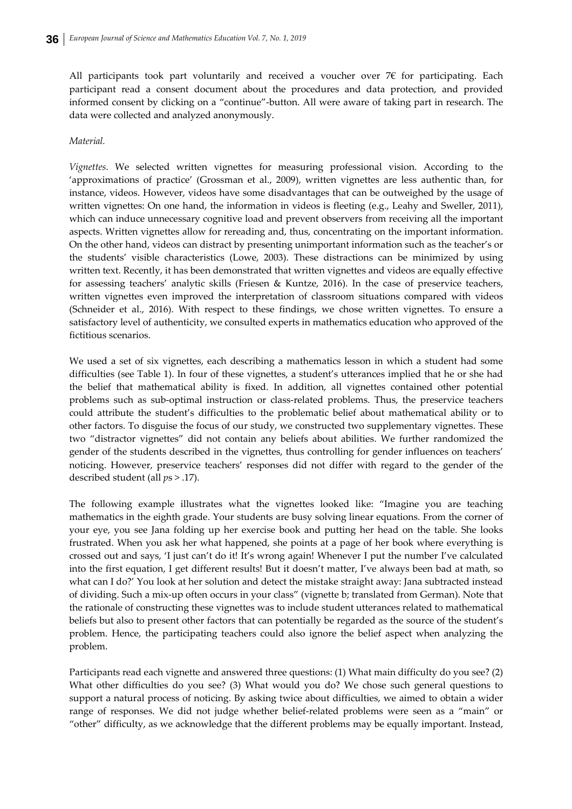All participants took part voluntarily and received a voucher over  $7 \epsilon$  for participating. Each participant read a consent document about the procedures and data protection, and provided informed consent by clicking on a "continue"‐button. All were aware of taking part in research. The data were collected and analyzed anonymously.

### *Material.*

*Vignettes*. We selected written vignettes for measuring professional vision. According to the 'approximations of practice' (Grossman et al., 2009), written vignettes are less authentic than, for instance, videos. However, videos have some disadvantages that can be outweighed by the usage of written vignettes: On one hand, the information in videos is fleeting (e.g., Leahy and Sweller, 2011), which can induce unnecessary cognitive load and prevent observers from receiving all the important aspects. Written vignettes allow for rereading and, thus, concentrating on the important information. On the other hand, videos can distract by presenting unimportant information such as the teacher's or the students' visible characteristics (Lowe, 2003). These distractions can be minimized by using written text. Recently, it has been demonstrated that written vignettes and videos are equally effective for assessing teachers' analytic skills (Friesen & Kuntze, 2016). In the case of preservice teachers, written vignettes even improved the interpretation of classroom situations compared with videos (Schneider et al., 2016). With respect to these findings, we chose written vignettes. To ensure a satisfactory level of authenticity, we consulted experts in mathematics education who approved of the fictitious scenarios.

We used a set of six vignettes, each describing a mathematics lesson in which a student had some difficulties (see Table 1). In four of these vignettes, a student's utterances implied that he or she had the belief that mathematical ability is fixed. In addition, all vignettes contained other potential problems such as sub‐optimal instruction or class‐related problems. Thus, the preservice teachers could attribute the student's difficulties to the problematic belief about mathematical ability or to other factors. To disguise the focus of our study, we constructed two supplementary vignettes. These two "distractor vignettes" did not contain any beliefs about abilities. We further randomized the gender of the students described in the vignettes, thus controlling for gender influences on teachers' noticing. However, preservice teachers' responses did not differ with regard to the gender of the described student (all *p*s > .17).

The following example illustrates what the vignettes looked like: "Imagine you are teaching mathematics in the eighth grade. Your students are busy solving linear equations. From the corner of your eye, you see Jana folding up her exercise book and putting her head on the table. She looks frustrated. When you ask her what happened, she points at a page of her book where everything is crossed out and says, 'I just can't do it! It's wrong again! Whenever I put the number I've calculated into the first equation, I get different results! But it doesn't matter, I've always been bad at math, so what can I do?' You look at her solution and detect the mistake straight away: Jana subtracted instead of dividing. Such a mix‐up often occurs in your class" (vignette b; translated from German). Note that the rationale of constructing these vignettes was to include student utterances related to mathematical beliefs but also to present other factors that can potentially be regarded as the source of the student's problem. Hence, the participating teachers could also ignore the belief aspect when analyzing the problem.

Participants read each vignette and answered three questions: (1) What main difficulty do you see? (2) What other difficulties do you see? (3) What would you do? We chose such general questions to support a natural process of noticing. By asking twice about difficulties, we aimed to obtain a wider range of responses. We did not judge whether belief-related problems were seen as a "main" or "other" difficulty, as we acknowledge that the different problems may be equally important. Instead,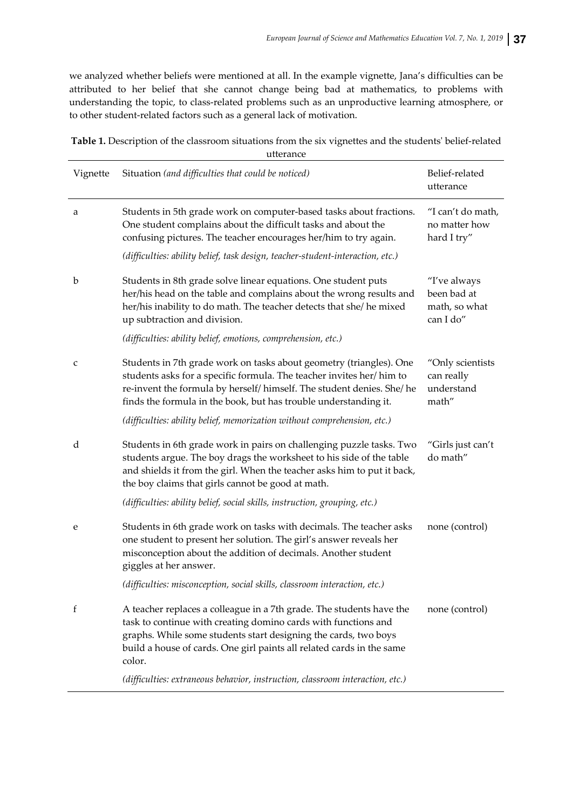we analyzed whether beliefs were mentioned at all. In the example vignette, Jana's difficulties can be attributed to her belief that she cannot change being bad at mathematics, to problems with understanding the topic, to class-related problems such as an unproductive learning atmosphere, or to other student‐related factors such as a general lack of motivation.

| Table 1. Description of the classroom situations from the six vignettes and the students' belief-related |  |
|----------------------------------------------------------------------------------------------------------|--|
| utterance                                                                                                |  |

| Vignette | Situation (and difficulties that could be noticed)                                                                                                                                                                                                                                           | Belief-related<br>utterance                               |
|----------|----------------------------------------------------------------------------------------------------------------------------------------------------------------------------------------------------------------------------------------------------------------------------------------------|-----------------------------------------------------------|
| a        | Students in 5th grade work on computer-based tasks about fractions.<br>One student complains about the difficult tasks and about the<br>confusing pictures. The teacher encourages her/him to try again.                                                                                     | "I can't do math,<br>no matter how<br>hard I try"         |
|          | (difficulties: ability belief, task design, teacher-student-interaction, etc.)                                                                                                                                                                                                               |                                                           |
| b        | Students in 8th grade solve linear equations. One student puts<br>her/his head on the table and complains about the wrong results and<br>her/his inability to do math. The teacher detects that she/ he mixed<br>up subtraction and division.                                                | "I've always<br>been bad at<br>math, so what<br>can I do" |
|          | (difficulties: ability belief, emotions, comprehension, etc.)                                                                                                                                                                                                                                |                                                           |
| c        | Students in 7th grade work on tasks about geometry (triangles). One<br>students asks for a specific formula. The teacher invites her/him to<br>re-invent the formula by herself/ himself. The student denies. She/ he<br>finds the formula in the book, but has trouble understanding it.    | "Only scientists<br>can really<br>understand<br>math"     |
|          | (difficulties: ability belief, memorization without comprehension, etc.)                                                                                                                                                                                                                     |                                                           |
| d        | Students in 6th grade work in pairs on challenging puzzle tasks. Two<br>students argue. The boy drags the worksheet to his side of the table<br>and shields it from the girl. When the teacher asks him to put it back,<br>the boy claims that girls cannot be good at math.                 | "Girls just can't<br>do math"                             |
|          | (difficulties: ability belief, social skills, instruction, grouping, etc.)                                                                                                                                                                                                                   |                                                           |
| e        | Students in 6th grade work on tasks with decimals. The teacher asks<br>one student to present her solution. The girl's answer reveals her<br>misconception about the addition of decimals. Another student<br>giggles at her answer.                                                         | none (control)                                            |
|          | (difficulties: misconception, social skills, classroom interaction, etc.)                                                                                                                                                                                                                    |                                                           |
| f        | A teacher replaces a colleague in a 7th grade. The students have the<br>task to continue with creating domino cards with functions and<br>graphs. While some students start designing the cards, two boys<br>build a house of cards. One girl paints all related cards in the same<br>color. | none (control)                                            |
|          | (difficulties: extraneous behavior, instruction, classroom interaction, etc.)                                                                                                                                                                                                                |                                                           |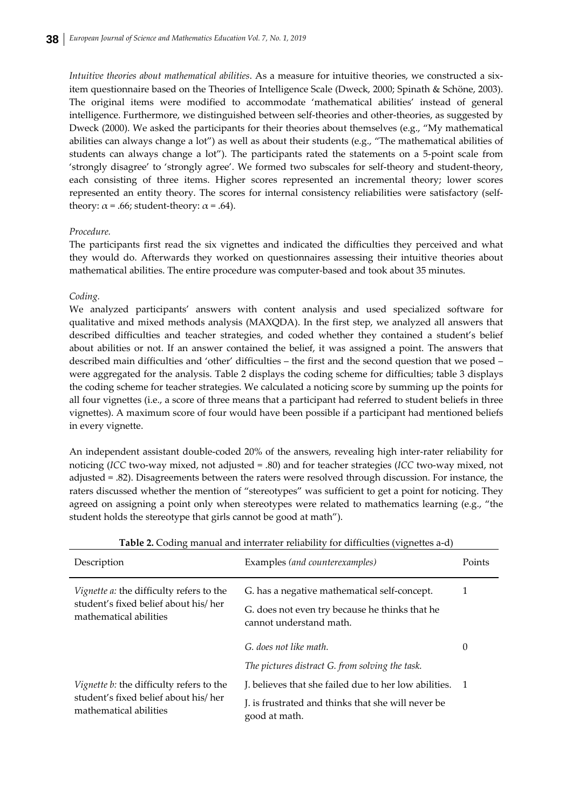*Intuitive theories about mathematical abilities*. As a measure for intuitive theories, we constructed a six‐ item questionnaire based on the Theories of Intelligence Scale (Dweck, 2000; Spinath & Schöne, 2003). The original items were modified to accommodate 'mathematical abilities' instead of general intelligence. Furthermore, we distinguished between self-theories and other-theories, as suggested by Dweck (2000). We asked the participants for their theories about themselves (e.g., "My mathematical abilities can always change a lot") as well as about their students (e.g., "The mathematical abilities of students can always change a lot"). The participants rated the statements on a 5‐point scale from 'strongly disagree' to 'strongly agree'. We formed two subscales for self‐theory and student‐theory, each consisting of three items. Higher scores represented an incremental theory; lower scores represented an entity theory. The scores for internal consistency reliabilities were satisfactory (selftheory:  $\alpha$  = .66; student-theory:  $\alpha$  = .64).

### *Procedure.*

The participants first read the six vignettes and indicated the difficulties they perceived and what they would do. Afterwards they worked on questionnaires assessing their intuitive theories about mathematical abilities. The entire procedure was computer‐based and took about 35 minutes.

### *Coding.*

We analyzed participants' answers with content analysis and used specialized software for qualitative and mixed methods analysis (MAXQDA). In the first step, we analyzed all answers that described difficulties and teacher strategies, and coded whether they contained a student's belief about abilities or not. If an answer contained the belief, it was assigned a point. The answers that described main difficulties and 'other' difficulties – the first and the second question that we posed – were aggregated for the analysis. Table 2 displays the coding scheme for difficulties; table 3 displays the coding scheme for teacher strategies. We calculated a noticing score by summing up the points for all four vignettes (i.e., a score of three means that a participant had referred to student beliefs in three vignettes). A maximum score of four would have been possible if a participant had mentioned beliefs in every vignette.

An independent assistant double-coded 20% of the answers, revealing high inter-rater reliability for noticing (*ICC* two-way mixed, not adjusted = .80) and for teacher strategies (*ICC* two-way mixed, not adjusted = .82). Disagreements between the raters were resolved through discussion. For instance, the raters discussed whether the mention of "stereotypes" was sufficient to get a point for noticing. They agreed on assigning a point only when stereotypes were related to mathematics learning (e.g., "the student holds the stereotype that girls cannot be good at math").

| Description                                                                                                       | Examples (and counterexamples)                                                                                            | Points         |
|-------------------------------------------------------------------------------------------------------------------|---------------------------------------------------------------------------------------------------------------------------|----------------|
| <i>Vignette a:</i> the difficulty refers to the<br>student's fixed belief about his/her<br>mathematical abilities | G. has a negative mathematical self-concept.<br>G. does not even try because he thinks that he<br>cannot understand math. | 1              |
|                                                                                                                   | G, does not like math.                                                                                                    | $\Omega$       |
|                                                                                                                   | The pictures distract G. from solving the task.                                                                           |                |
| <i>Vignette b:</i> the difficulty refers to the<br>student's fixed belief about his/her<br>mathematical abilities | J. believes that she failed due to her low abilities.                                                                     | $\overline{1}$ |
|                                                                                                                   | J. is frustrated and thinks that she will never be.<br>good at math.                                                      |                |

**Table 2.** Coding manual and interrater reliability for difficulties (vignettes a‐d)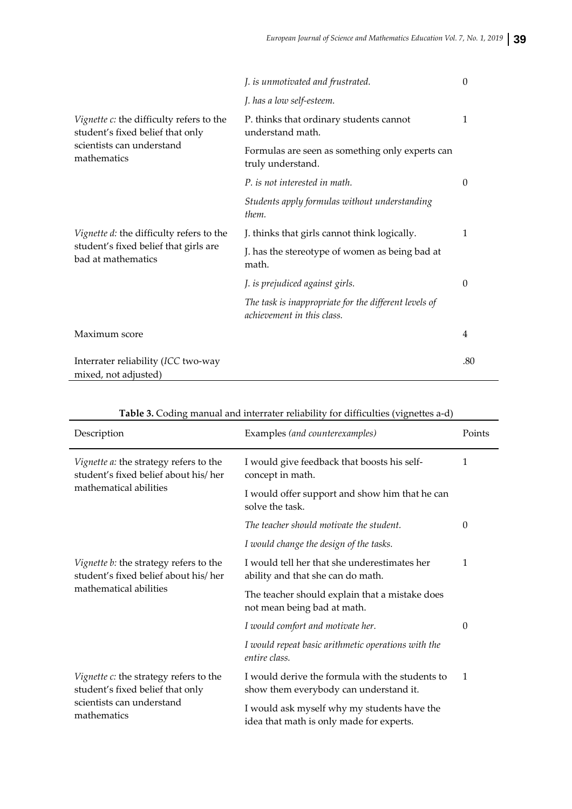|                                                                                                                          | J. is unmotivated and frustrated.                                                   | $\theta$ |
|--------------------------------------------------------------------------------------------------------------------------|-------------------------------------------------------------------------------------|----------|
|                                                                                                                          | J. has a low self-esteem.                                                           |          |
| Vignette c: the difficulty refers to the<br>student's fixed belief that only<br>scientists can understand<br>mathematics | P. thinks that ordinary students cannot<br>understand math.                         | 1        |
|                                                                                                                          | Formulas are seen as something only experts can<br>truly understand.                |          |
|                                                                                                                          | P, is not interested in math.                                                       | 0        |
|                                                                                                                          | Students apply formulas without understanding<br>them.                              |          |
| Vignette d: the difficulty refers to the<br>student's fixed belief that girls are<br>bad at mathematics                  | J. thinks that girls cannot think logically.                                        | 1        |
|                                                                                                                          | J. has the stereotype of women as being bad at<br>math.                             |          |
|                                                                                                                          | J. is prejudiced against girls.                                                     | 0        |
|                                                                                                                          | The task is inappropriate for the different levels of<br>achievement in this class. |          |
| Maximum score                                                                                                            |                                                                                     | 4        |
| Interrater reliability (ICC two-way<br>mixed, not adjusted)                                                              |                                                                                     | .80      |

| Description                                                                                                            | Examples (and counterexamples)                                                            | Points       |
|------------------------------------------------------------------------------------------------------------------------|-------------------------------------------------------------------------------------------|--------------|
| Vignette a: the strategy refers to the<br>student's fixed belief about his/her<br>mathematical abilities               | I would give feedback that boosts his self-<br>concept in math.                           | 1            |
|                                                                                                                        | I would offer support and show him that he can<br>solve the task.                         |              |
|                                                                                                                        | The teacher should motivate the student.                                                  | 0            |
|                                                                                                                        | I would change the design of the tasks.                                                   |              |
| Vignette b: the strategy refers to the<br>student's fixed belief about his/her<br>mathematical abilities               | I would tell her that she underestimates her<br>ability and that she can do math.         | 1            |
|                                                                                                                        | The teacher should explain that a mistake does<br>not mean being bad at math.             |              |
|                                                                                                                        | I would comfort and motivate her.                                                         | $\Omega$     |
|                                                                                                                        | I would repeat basic arithmetic operations with the<br>entire class.                      |              |
| Vignette c: the strategy refers to the<br>student's fixed belief that only<br>scientists can understand<br>mathematics | I would derive the formula with the students to<br>show them everybody can understand it. | $\mathbf{1}$ |
|                                                                                                                        | I would ask myself why my students have the<br>idea that math is only made for experts.   |              |

## **Table 3.** Coding manual and interrater reliability for difficulties (vignettes a‐d)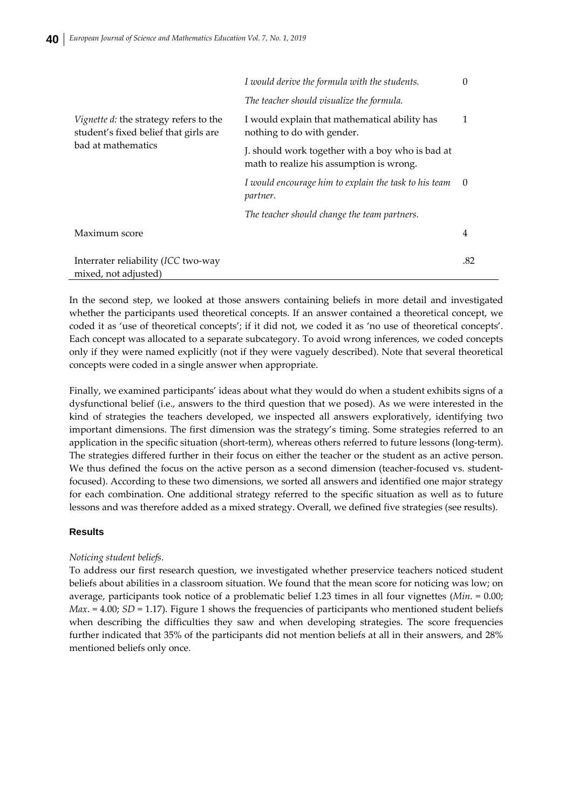| <i>Vignette d:</i> the strategy refers to the<br>student's fixed belief that girls are<br>bad at mathematics | I would derive the formula with the students.                                                | $\Omega$ |
|--------------------------------------------------------------------------------------------------------------|----------------------------------------------------------------------------------------------|----------|
|                                                                                                              | The teacher should visualize the formula.                                                    |          |
|                                                                                                              | I would explain that mathematical ability has<br>nothing to do with gender.                  | 1        |
|                                                                                                              | J. should work together with a boy who is bad at<br>math to realize his assumption is wrong. |          |
|                                                                                                              | I would encourage him to explain the task to his team<br>partner.                            | $\theta$ |
|                                                                                                              | The teacher should change the team partners.                                                 |          |
| Maximum score                                                                                                |                                                                                              | 4        |
| Interrater reliability (ICC two-way<br>mixed, not adjusted)                                                  |                                                                                              | .82      |

In the second step, we looked at those answers containing beliefs in more detail and investigated whether the participants used theoretical concepts. If an answer contained a theoretical concept, we coded it as 'use of theoretical concepts'; if it did not, we coded it as 'no use of theoretical concepts'. Each concept was allocated to a separate subcategory. To avoid wrong inferences, we coded concepts only if they were named explicitly (not if they were vaguely described). Note that several theoretical concepts were coded in a single answer when appropriate.

Finally, we examined participants' ideas about what they would do when a student exhibits signs of a dysfunctional belief (i.e., answers to the third question that we posed). As we were interested in the kind of strategies the teachers developed, we inspected all answers exploratively, identifying two important dimensions. The first dimension was the strategy's timing. Some strategies referred to an application in the specific situation (short-term), whereas others referred to future lessons (long-term). The strategies differed further in their focus on either the teacher or the student as an active person. We thus defined the focus on the active person as a second dimension (teacher-focused vs. studentfocused). According to these two dimensions, we sorted all answers and identified one major strategy for each combination. One additional strategy referred to the specific situation as well as to future lessons and was therefore added as a mixed strategy. Overall, we defined five strategies (see results).

### **Results**

### *Noticing student beliefs*.

To address our first research question, we investigated whether preservice teachers noticed student beliefs about abilities in a classroom situation. We found that the mean score for noticing was low; on average, participants took notice of a problematic belief 1.23 times in all four vignettes (*Min*. = 0.00; *Max*. = 4.00; *SD* = 1.17). Figure 1 shows the frequencies of participants who mentioned student beliefs when describing the difficulties they saw and when developing strategies. The score frequencies further indicated that 35% of the participants did not mention beliefs at all in their answers, and 28% mentioned beliefs only once.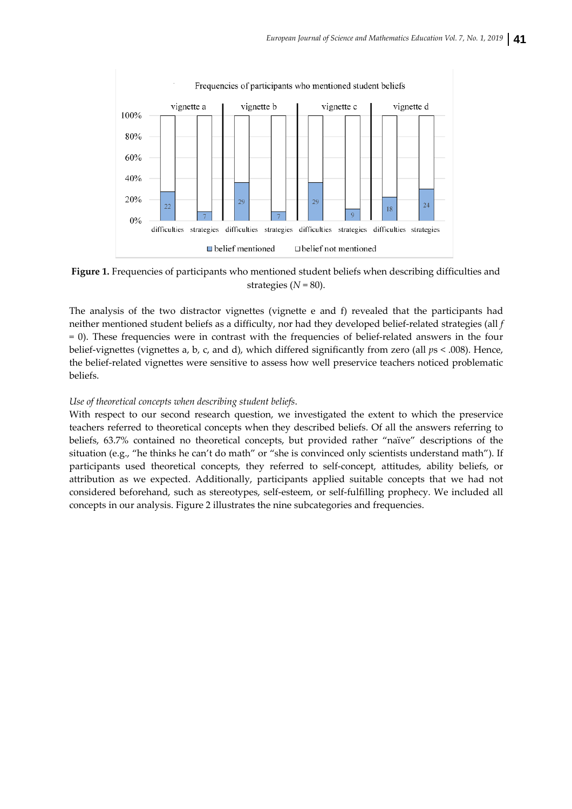

**Figure 1.** Frequencies of participants who mentioned student beliefs when describing difficulties and strategies  $(N = 80)$ .

The analysis of the two distractor vignettes (vignette e and f) revealed that the participants had neither mentioned student beliefs as a difficulty, nor had they developed belief‐related strategies (all *f* = 0). These frequencies were in contrast with the frequencies of belief‐related answers in the four belief-vignettes (vignettes a, b, c, and d), which differed significantly from zero (all  $ps < .008$ ). Hence, the belief-related vignettes were sensitive to assess how well preservice teachers noticed problematic beliefs.

### *Use of theoretical concepts when describing student beliefs*.

With respect to our second research question, we investigated the extent to which the preservice teachers referred to theoretical concepts when they described beliefs. Of all the answers referring to beliefs, 63.7% contained no theoretical concepts, but provided rather "naïve" descriptions of the situation (e.g., "he thinks he can't do math" or "she is convinced only scientists understand math"). If participants used theoretical concepts, they referred to self-concept, attitudes, ability beliefs, or attribution as we expected. Additionally, participants applied suitable concepts that we had not considered beforehand, such as stereotypes, self‐esteem, or self‐fulfilling prophecy. We included all concepts in our analysis. Figure 2 illustrates the nine subcategories and frequencies.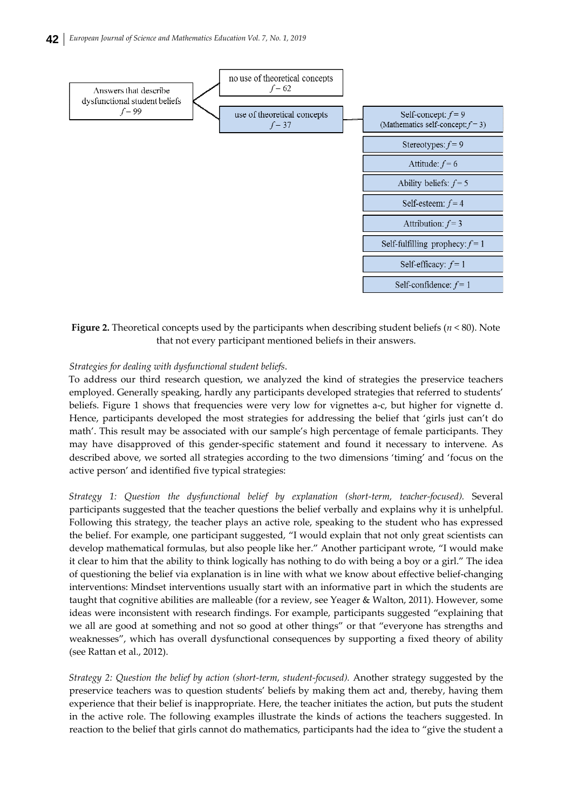

**Figure 2.** Theoretical concepts used by the participants when describing student beliefs (*n* < 80). Note that not every participant mentioned beliefs in their answers.

### *Strategies for dealing with dysfunctional student beliefs*.

To address our third research question, we analyzed the kind of strategies the preservice teachers employed. Generally speaking, hardly any participants developed strategies that referred to students' beliefs. Figure 1 shows that frequencies were very low for vignettes a‐c, but higher for vignette d. Hence, participants developed the most strategies for addressing the belief that 'girls just can't do math'. This result may be associated with our sample's high percentage of female participants. They may have disapproved of this gender‐specific statement and found it necessary to intervene. As described above, we sorted all strategies according to the two dimensions 'timing' and 'focus on the active person' and identified five typical strategies:

*Strategy 1: Question the dysfunctional belief by explanation (short‐term, teacher‐focused).* Several participants suggested that the teacher questions the belief verbally and explains why it is unhelpful. Following this strategy, the teacher plays an active role, speaking to the student who has expressed the belief. For example, one participant suggested, "I would explain that not only great scientists can develop mathematical formulas, but also people like her." Another participant wrote, "I would make it clear to him that the ability to think logically has nothing to do with being a boy or a girl." The idea of questioning the belief via explanation is in line with what we know about effective belief‐changing interventions: Mindset interventions usually start with an informative part in which the students are taught that cognitive abilities are malleable (for a review, see Yeager & Walton, 2011). However, some ideas were inconsistent with research findings. For example, participants suggested "explaining that we all are good at something and not so good at other things" or that "everyone has strengths and weaknesses", which has overall dysfunctional consequences by supporting a fixed theory of ability (see Rattan et al., 2012).

*Strategy 2: Question the belief by action (short‐term, student‐focused).* Another strategy suggested by the preservice teachers was to question students' beliefs by making them act and, thereby, having them experience that their belief is inappropriate. Here, the teacher initiates the action, but puts the student in the active role. The following examples illustrate the kinds of actions the teachers suggested. In reaction to the belief that girls cannot do mathematics, participants had the idea to "give the student a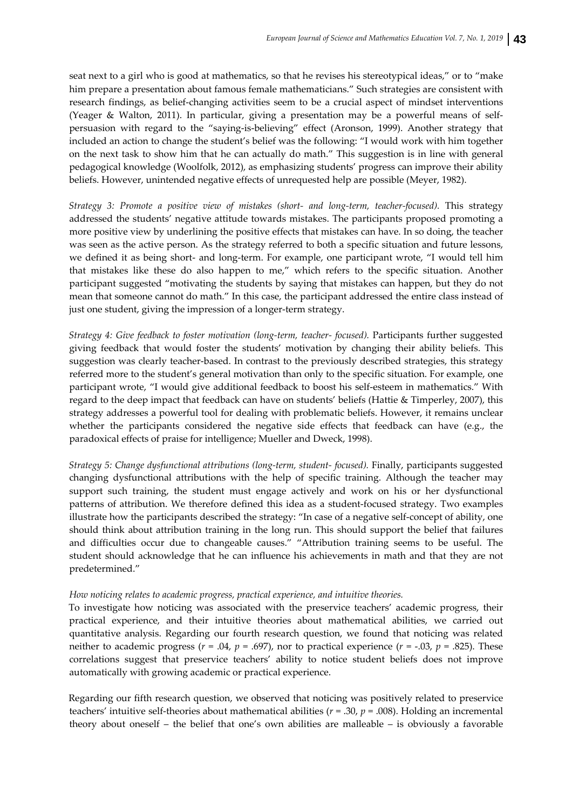seat next to a girl who is good at mathematics, so that he revises his stereotypical ideas," or to "make him prepare a presentation about famous female mathematicians." Such strategies are consistent with research findings, as belief-changing activities seem to be a crucial aspect of mindset interventions (Yeager & Walton, 2011). In particular, giving a presentation may be a powerful means of self‐ persuasion with regard to the "saying‐is‐believing" effect (Aronson, 1999). Another strategy that included an action to change the student's belief was the following: "I would work with him together on the next task to show him that he can actually do math." This suggestion is in line with general pedagogical knowledge (Woolfolk, 2012), as emphasizing students' progress can improve their ability beliefs. However, unintended negative effects of unrequested help are possible (Meyer, 1982).

*Strategy 3: Promote a positive view of mistakes (short‐ and long‐term, teacher‐focused).* This strategy addressed the students' negative attitude towards mistakes. The participants proposed promoting a more positive view by underlining the positive effects that mistakes can have. In so doing, the teacher was seen as the active person. As the strategy referred to both a specific situation and future lessons, we defined it as being short- and long-term. For example, one participant wrote, "I would tell him that mistakes like these do also happen to me," which refers to the specific situation. Another participant suggested "motivating the students by saying that mistakes can happen, but they do not mean that someone cannot do math." In this case, the participant addressed the entire class instead of just one student, giving the impression of a longer-term strategy.

*Strategy 4: Give feedback to foster motivation (long‐term, teacher‐ focused).* Participants further suggested giving feedback that would foster the students' motivation by changing their ability beliefs. This suggestion was clearly teacher-based. In contrast to the previously described strategies, this strategy referred more to the student's general motivation than only to the specific situation. For example, one participant wrote, "I would give additional feedback to boost his self‐esteem in mathematics." With regard to the deep impact that feedback can have on students' beliefs (Hattie & Timperley, 2007), this strategy addresses a powerful tool for dealing with problematic beliefs. However, it remains unclear whether the participants considered the negative side effects that feedback can have (e.g., the paradoxical effects of praise for intelligence; Mueller and Dweck, 1998).

*Strategy 5: Change dysfunctional attributions (long‐term, student‐ focused).* Finally, participants suggested changing dysfunctional attributions with the help of specific training. Although the teacher may support such training, the student must engage actively and work on his or her dysfunctional patterns of attribution. We therefore defined this idea as a student‐focused strategy. Two examples illustrate how the participants described the strategy: "In case of a negative self‐concept of ability, one should think about attribution training in the long run. This should support the belief that failures and difficulties occur due to changeable causes." "Attribution training seems to be useful. The student should acknowledge that he can influence his achievements in math and that they are not predetermined."

### *How noticing relates to academic progress, practical experience, and intuitive theories.*

To investigate how noticing was associated with the preservice teachers' academic progress, their practical experience, and their intuitive theories about mathematical abilities, we carried out quantitative analysis. Regarding our fourth research question, we found that noticing was related neither to academic progress ( $r = .04$ ,  $p = .697$ ), nor to practical experience ( $r = -.03$ ,  $p = .825$ ). These correlations suggest that preservice teachers' ability to notice student beliefs does not improve automatically with growing academic or practical experience.

Regarding our fifth research question, we observed that noticing was positively related to preservice teachers' intuitive self‐theories about mathematical abilities (*r* = .30, *p* = .008). Holding an incremental theory about oneself – the belief that one's own abilities are malleable – is obviously a favorable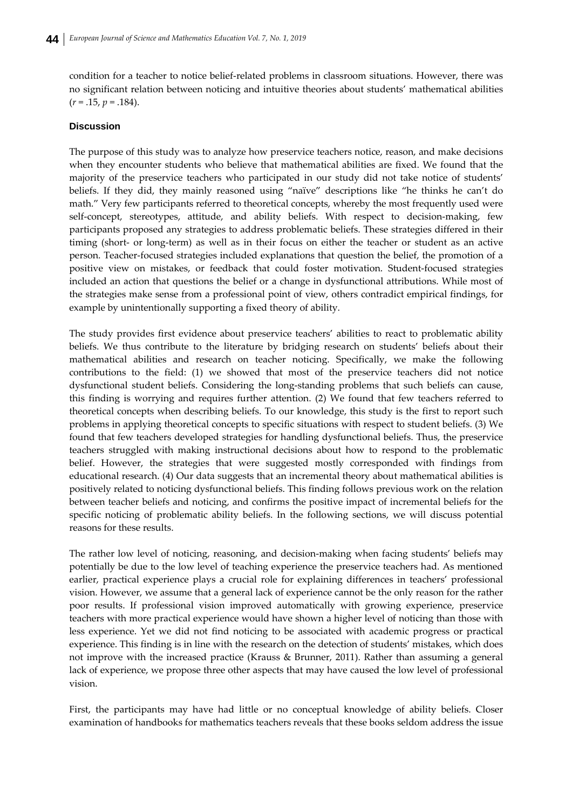condition for a teacher to notice belief-related problems in classroom situations. However, there was no significant relation between noticing and intuitive theories about students' mathematical abilities  $(r = .15, p = .184)$ .

### **Discussion**

The purpose of this study was to analyze how preservice teachers notice, reason, and make decisions when they encounter students who believe that mathematical abilities are fixed. We found that the majority of the preservice teachers who participated in our study did not take notice of students' beliefs. If they did, they mainly reasoned using "naïve" descriptions like "he thinks he can't do math." Very few participants referred to theoretical concepts, whereby the most frequently used were self-concept, stereotypes, attitude, and ability beliefs. With respect to decision-making, few participants proposed any strategies to address problematic beliefs. These strategies differed in their timing (short‐ or long‐term) as well as in their focus on either the teacher or student as an active person. Teacher‐focused strategies included explanations that question the belief, the promotion of a positive view on mistakes, or feedback that could foster motivation. Student‐focused strategies included an action that questions the belief or a change in dysfunctional attributions. While most of the strategies make sense from a professional point of view, others contradict empirical findings, for example by unintentionally supporting a fixed theory of ability.

The study provides first evidence about preservice teachers' abilities to react to problematic ability beliefs. We thus contribute to the literature by bridging research on students' beliefs about their mathematical abilities and research on teacher noticing. Specifically, we make the following contributions to the field: (1) we showed that most of the preservice teachers did not notice dysfunctional student beliefs. Considering the long‐standing problems that such beliefs can cause, this finding is worrying and requires further attention. (2) We found that few teachers referred to theoretical concepts when describing beliefs. To our knowledge, this study is the first to report such problems in applying theoretical concepts to specific situations with respect to student beliefs. (3) We found that few teachers developed strategies for handling dysfunctional beliefs. Thus, the preservice teachers struggled with making instructional decisions about how to respond to the problematic belief. However, the strategies that were suggested mostly corresponded with findings from educational research. (4) Our data suggests that an incremental theory about mathematical abilities is positively related to noticing dysfunctional beliefs. This finding follows previous work on the relation between teacher beliefs and noticing, and confirms the positive impact of incremental beliefs for the specific noticing of problematic ability beliefs. In the following sections, we will discuss potential reasons for these results.

The rather low level of noticing, reasoning, and decision-making when facing students' beliefs may potentially be due to the low level of teaching experience the preservice teachers had. As mentioned earlier, practical experience plays a crucial role for explaining differences in teachers' professional vision. However, we assume that a general lack of experience cannot be the only reason for the rather poor results. If professional vision improved automatically with growing experience, preservice teachers with more practical experience would have shown a higher level of noticing than those with less experience. Yet we did not find noticing to be associated with academic progress or practical experience. This finding is in line with the research on the detection of students' mistakes, which does not improve with the increased practice (Krauss & Brunner, 2011). Rather than assuming a general lack of experience, we propose three other aspects that may have caused the low level of professional vision.

First, the participants may have had little or no conceptual knowledge of ability beliefs. Closer examination of handbooks for mathematics teachers reveals that these books seldom address the issue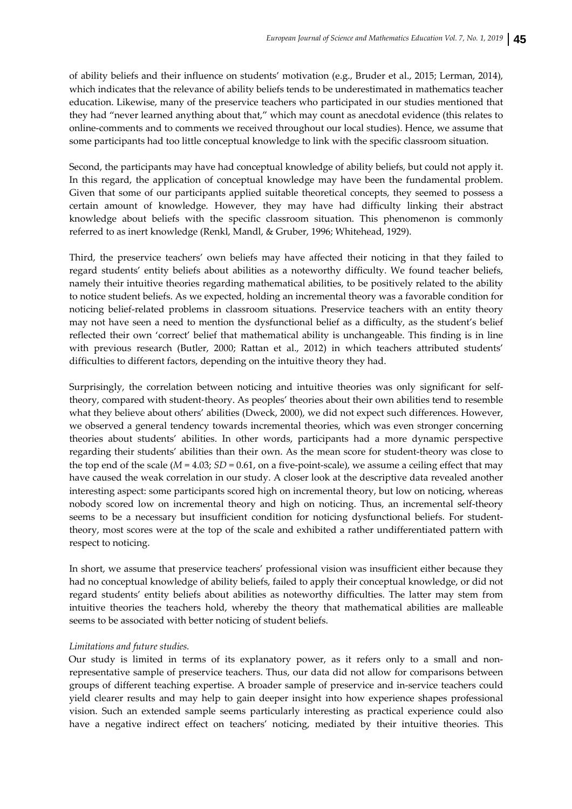of ability beliefs and their influence on students' motivation (e.g., Bruder et al., 2015; Lerman, 2014), which indicates that the relevance of ability beliefs tends to be underestimated in mathematics teacher education. Likewise, many of the preservice teachers who participated in our studies mentioned that they had "never learned anything about that," which may count as anecdotal evidence (this relates to online‐comments and to comments we received throughout our local studies). Hence, we assume that some participants had too little conceptual knowledge to link with the specific classroom situation.

Second, the participants may have had conceptual knowledge of ability beliefs, but could not apply it. In this regard, the application of conceptual knowledge may have been the fundamental problem. Given that some of our participants applied suitable theoretical concepts, they seemed to possess a certain amount of knowledge. However, they may have had difficulty linking their abstract knowledge about beliefs with the specific classroom situation. This phenomenon is commonly referred to as inert knowledge (Renkl, Mandl, & Gruber, 1996; Whitehead, 1929).

Third, the preservice teachers' own beliefs may have affected their noticing in that they failed to regard students' entity beliefs about abilities as a noteworthy difficulty. We found teacher beliefs, namely their intuitive theories regarding mathematical abilities, to be positively related to the ability to notice student beliefs. As we expected, holding an incremental theory was a favorable condition for noticing belief‐related problems in classroom situations. Preservice teachers with an entity theory may not have seen a need to mention the dysfunctional belief as a difficulty, as the student's belief reflected their own 'correct' belief that mathematical ability is unchangeable. This finding is in line with previous research (Butler, 2000; Rattan et al., 2012) in which teachers attributed students' difficulties to different factors, depending on the intuitive theory they had.

Surprisingly, the correlation between noticing and intuitive theories was only significant for self‐ theory, compared with student‐theory. As peoples' theories about their own abilities tend to resemble what they believe about others' abilities (Dweck, 2000), we did not expect such differences. However, we observed a general tendency towards incremental theories, which was even stronger concerning theories about students' abilities. In other words, participants had a more dynamic perspective regarding their students' abilities than their own. As the mean score for student‐theory was close to the top end of the scale ( $M = 4.03$ ;  $SD = 0.61$ , on a five-point-scale), we assume a ceiling effect that may have caused the weak correlation in our study. A closer look at the descriptive data revealed another interesting aspect: some participants scored high on incremental theory, but low on noticing, whereas nobody scored low on incremental theory and high on noticing. Thus, an incremental self-theory seems to be a necessary but insufficient condition for noticing dysfunctional beliefs. For studenttheory, most scores were at the top of the scale and exhibited a rather undifferentiated pattern with respect to noticing.

In short, we assume that preservice teachers' professional vision was insufficient either because they had no conceptual knowledge of ability beliefs, failed to apply their conceptual knowledge, or did not regard students' entity beliefs about abilities as noteworthy difficulties. The latter may stem from intuitive theories the teachers hold, whereby the theory that mathematical abilities are malleable seems to be associated with better noticing of student beliefs.

### *Limitations and future studies.*

Our study is limited in terms of its explanatory power, as it refers only to a small and nonrepresentative sample of preservice teachers. Thus, our data did not allow for comparisons between groups of different teaching expertise. A broader sample of preservice and in‐service teachers could yield clearer results and may help to gain deeper insight into how experience shapes professional vision. Such an extended sample seems particularly interesting as practical experience could also have a negative indirect effect on teachers' noticing, mediated by their intuitive theories. This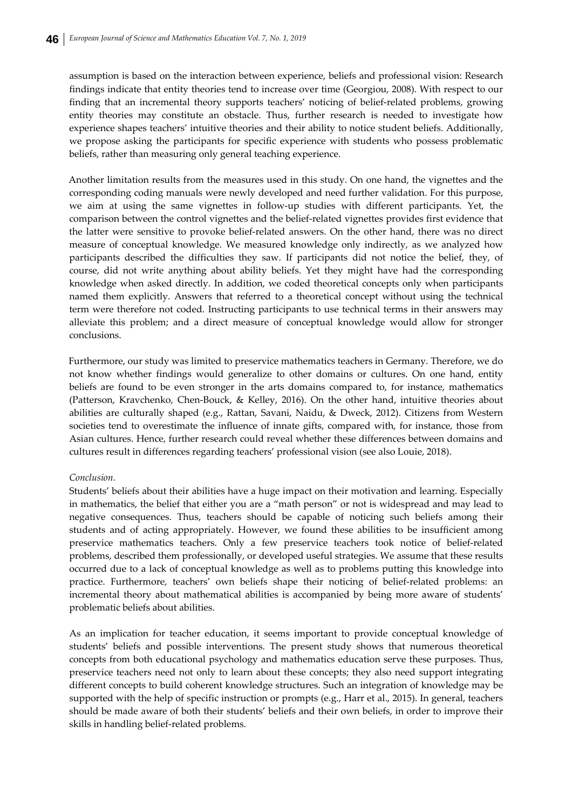assumption is based on the interaction between experience, beliefs and professional vision: Research findings indicate that entity theories tend to increase over time (Georgiou, 2008). With respect to our finding that an incremental theory supports teachers' noticing of belief-related problems, growing entity theories may constitute an obstacle. Thus, further research is needed to investigate how experience shapes teachers' intuitive theories and their ability to notice student beliefs. Additionally, we propose asking the participants for specific experience with students who possess problematic beliefs, rather than measuring only general teaching experience.

Another limitation results from the measures used in this study. On one hand, the vignettes and the corresponding coding manuals were newly developed and need further validation. For this purpose, we aim at using the same vignettes in follow-up studies with different participants. Yet, the comparison between the control vignettes and the belief-related vignettes provides first evidence that the latter were sensitive to provoke belief‐related answers. On the other hand, there was no direct measure of conceptual knowledge. We measured knowledge only indirectly, as we analyzed how participants described the difficulties they saw. If participants did not notice the belief, they, of course, did not write anything about ability beliefs. Yet they might have had the corresponding knowledge when asked directly. In addition, we coded theoretical concepts only when participants named them explicitly. Answers that referred to a theoretical concept without using the technical term were therefore not coded. Instructing participants to use technical terms in their answers may alleviate this problem; and a direct measure of conceptual knowledge would allow for stronger conclusions.

Furthermore, our study was limited to preservice mathematics teachers in Germany. Therefore, we do not know whether findings would generalize to other domains or cultures. On one hand, entity beliefs are found to be even stronger in the arts domains compared to, for instance, mathematics (Patterson, Kravchenko, Chen-Bouck, & Kelley, 2016). On the other hand, intuitive theories about abilities are culturally shaped (e.g., Rattan, Savani, Naidu, & Dweck, 2012). Citizens from Western societies tend to overestimate the influence of innate gifts, compared with, for instance, those from Asian cultures. Hence, further research could reveal whether these differences between domains and cultures result in differences regarding teachers' professional vision (see also Louie, 2018).

### *Conclusion.*

Students' beliefs about their abilities have a huge impact on their motivation and learning. Especially in mathematics, the belief that either you are a "math person" or not is widespread and may lead to negative consequences. Thus, teachers should be capable of noticing such beliefs among their students and of acting appropriately. However, we found these abilities to be insufficient among preservice mathematics teachers. Only a few preservice teachers took notice of belief‐related problems, described them professionally, or developed useful strategies. We assume that these results occurred due to a lack of conceptual knowledge as well as to problems putting this knowledge into practice. Furthermore, teachers' own beliefs shape their noticing of belief-related problems: an incremental theory about mathematical abilities is accompanied by being more aware of students' problematic beliefs about abilities.

As an implication for teacher education, it seems important to provide conceptual knowledge of students' beliefs and possible interventions. The present study shows that numerous theoretical concepts from both educational psychology and mathematics education serve these purposes. Thus, preservice teachers need not only to learn about these concepts; they also need support integrating different concepts to build coherent knowledge structures. Such an integration of knowledge may be supported with the help of specific instruction or prompts (e.g., Harr et al., 2015). In general, teachers should be made aware of both their students' beliefs and their own beliefs, in order to improve their skills in handling belief‐related problems.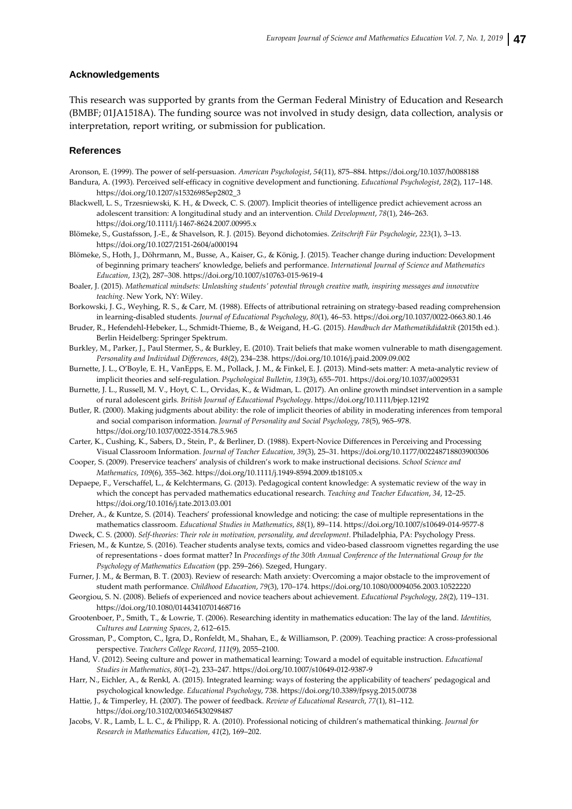#### **Acknowledgements**

This research was supported by grants from the German Federal Ministry of Education and Research (BMBF; 01JA1518A). The funding source was not involved in study design, data collection, analysis or interpretation, report writing, or submission for publication.

#### **References**

Aronson, E. (1999). The power of self‐persuasion. *American Psychologist*, *54*(11), 875–884. https://doi.org/10.1037/h0088188

- Bandura, A. (1993). Perceived self‐efficacy in cognitive development and functioning. *Educational Psychologist*, *28*(2), 117–148. https://doi.org/10.1207/s15326985ep2802\_3
- Blackwell, L. S., Trzesniewski, K. H., & Dweck, C. S. (2007). Implicit theories of intelligence predict achievement across an adolescent transition: A longitudinal study and an intervention. *Child Development*, *78*(1), 246–263. https://doi.org/10.1111/j.1467‐8624.2007.00995.x
- Blömeke, S., Gustafsson, J.‐E., & Shavelson, R. J. (2015). Beyond dichotomies. *Zeitschrift Für Psychologie*, *223*(1), 3–13. https://doi.org/10.1027/2151‐2604/a000194
- Blömeke, S., Hoth, J., Döhrmann, M., Busse, A., Kaiser, G., & König, J. (2015). Teacher change during induction: Development of beginning primary teachers' knowledge, beliefs and performance. *International Journal of Science and Mathematics Education*, *13*(2), 287–308. https://doi.org/10.1007/s10763‐015‐9619‐4
- Boaler, J. (2015). *Mathematical mindsets: Unleashing students' potential through creative math, inspiring messages and innovative teaching*. New York, NY: Wiley.
- Borkowski, J. G., Weyhing, R. S., & Carr, M. (1988). Effects of attributional retraining on strategy-based reading comprehension in learning‐disabled students. *Journal of Educational Psychology*, *80*(1), 46–53. https://doi.org/10.1037/0022‐0663.80.1.46
- Bruder, R., Hefendehl‐Hebeker, L., Schmidt‐Thieme, B., & Weigand, H.‐G. (2015). *Handbuch der Mathematikdidaktik* (2015th ed.). Berlin Heidelberg: Springer Spektrum.
- Burkley, M., Parker, J., Paul Stermer, S., & Burkley, E. (2010). Trait beliefs that make women vulnerable to math disengagement. *Personality and Individual Differences*, *48*(2), 234–238. https://doi.org/10.1016/j.paid.2009.09.002
- Burnette, J. L., O'Boyle, E. H., VanEpps, E. M., Pollack, J. M., & Finkel, E. J. (2013). Mind‐sets matter: A meta‐analytic review of implicit theories and self‐regulation. *Psychological Bulletin*, *139*(3), 655–701. https://doi.org/10.1037/a0029531
- Burnette, J. L., Russell, M. V., Hoyt, C. L., Orvidas, K., & Widman, L. (2017). An online growth mindset intervention in a sample of rural adolescent girls. *British Journal of Educational Psychology*. https://doi.org/10.1111/bjep.12192
- Butler, R. (2000). Making judgments about ability: the role of implicit theories of ability in moderating inferences from temporal and social comparison information. *Journal of Personality and Social Psychology*, *78*(5), 965–978. https://doi.org/10.1037/0022‐3514.78.5.965
- Carter, K., Cushing, K., Sabers, D., Stein, P., & Berliner, D. (1988). Expert‐Novice Differences in Perceiving and Processing Visual Classroom Information. *Journal of Teacher Education*, *39*(3), 25–31. https://doi.org/10.1177/002248718803900306
- Cooper, S. (2009). Preservice teachers' analysis of children's work to make instructional decisions. *School Science and Mathematics*, *109*(6), 355–362. https://doi.org/10.1111/j.1949‐8594.2009.tb18105.x
- Depaepe, F., Verschaffel, L., & Kelchtermans, G. (2013). Pedagogical content knowledge: A systematic review of the way in which the concept has pervaded mathematics educational research. *Teaching and Teacher Education*, *34*, 12–25. https://doi.org/10.1016/j.tate.2013.03.001
- Dreher, A., & Kuntze, S. (2014). Teachers' professional knowledge and noticing: the case of multiple representations in the mathematics classroom. *Educational Studies in Mathematics*, *88*(1), 89–114. https://doi.org/10.1007/s10649‐014‐9577‐8
- Dweck, C. S. (2000). *Self‐theories: Their role in motivation, personality, and development*. Philadelphia, PA: Psychology Press. Friesen, M., & Kuntze, S. (2016). Teacher students analyse texts, comics and video‐based classroom vignettes regarding the use
- of representations ‐ does format matter? In *Proceedings of the 30th Annual Conference of the International Group for the Psychology of Mathematics Education* (pp. 259–266). Szeged, Hungary.
- Furner, J. M., & Berman, B. T. (2003). Review of research: Math anxiety: Overcoming a major obstacle to the improvement of student math performance. *Childhood Education*, *79*(3), 170–174. https://doi.org/10.1080/00094056.2003.10522220
- Georgiou, S. N. (2008). Beliefs of experienced and novice teachers about achievement. *Educational Psychology*, *28*(2), 119–131. https://doi.org/10.1080/01443410701468716
- Grootenboer, P., Smith, T., & Lowrie, T. (2006). Researching identity in mathematics education: The lay of the land. *Identities, Cultures and Learning Spaces*, *2*, 612–615.
- Grossman, P., Compton, C., Igra, D., Ronfeldt, M., Shahan, E., & Williamson, P. (2009). Teaching practice: A cross‐professional perspective. *Teachers College Record*, *111*(9), 2055–2100.
- Hand, V. (2012). Seeing culture and power in mathematical learning: Toward a model of equitable instruction. *Educational Studies in Mathematics*, *80*(1–2), 233–247. https://doi.org/10.1007/s10649‐012‐9387‐9
- Harr, N., Eichler, A., & Renkl, A. (2015). Integrated learning: ways of fostering the applicability of teachers' pedagogical and psychological knowledge. *Educational Psychology*, 738. https://doi.org/10.3389/fpsyg.2015.00738
- Hattie, J., & Timperley, H. (2007). The power of feedback. *Review of Educational Research*, *77*(1), 81–112. https://doi.org/10.3102/003465430298487
- Jacobs, V. R., Lamb, L. L. C., & Philipp, R. A. (2010). Professional noticing of children's mathematical thinking. *Journal for Research in Mathematics Education*, *41*(2), 169–202.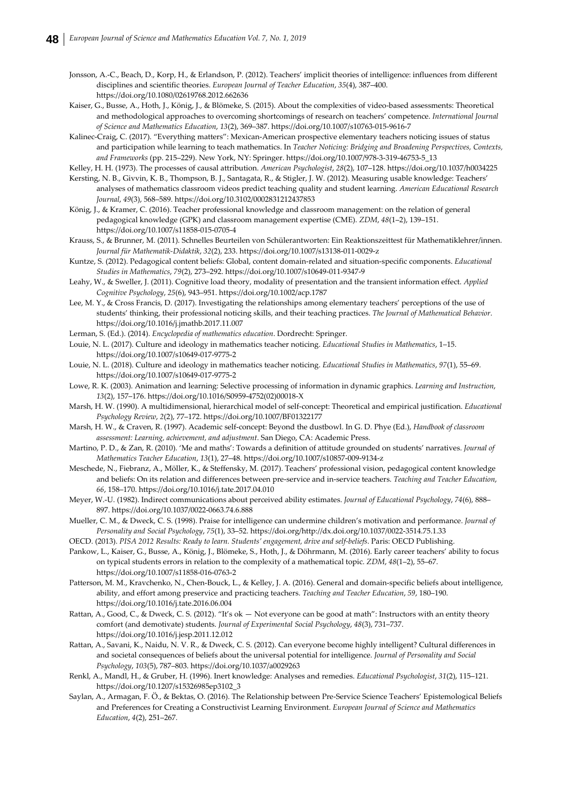- Jonsson, A.‐C., Beach, D., Korp, H., & Erlandson, P. (2012). Teachers' implicit theories of intelligence: influences from different disciplines and scientific theories. *European Journal of Teacher Education*, *35*(4), 387–400. https://doi.org/10.1080/02619768.2012.662636
- Kaiser, G., Busse, A., Hoth, J., König, J., & Blömeke, S. (2015). About the complexities of video‐based assessments: Theoretical and methodological approaches to overcoming shortcomings of research on teachers' competence. *International Journal of Science and Mathematics Education*, *13*(2), 369–387. https://doi.org/10.1007/s10763‐015‐9616‐7
- Kalinec-Craig, C. (2017). "Everything matters": Mexican-American prospective elementary teachers noticing issues of status and participation while learning to teach mathematics. In *Teacher Noticing: Bridging and Broadening Perspectives, Contexts, and Frameworks* (pp. 215–229). New York, NY: Springer. https://doi.org/10.1007/978‐3‐319‐46753‐5\_13

Kelley, H. H. (1973). The processes of causal attribution. *American Psychologist*, *28*(2), 107–128. https://doi.org/10.1037/h0034225

- Kersting, N. B., Givvin, K. B., Thompson, B. J., Santagata, R., & Stigler, J. W. (2012). Measuring usable knowledge: Teachers' analyses of mathematics classroom videos predict teaching quality and student learning. *American Educational Research Journal*, *49*(3), 568–589. https://doi.org/10.3102/0002831212437853
- König, J., & Kramer, C. (2016). Teacher professional knowledge and classroom management: on the relation of general pedagogical knowledge (GPK) and classroom management expertise (CME). *ZDM*, *48*(1–2), 139–151. https://doi.org/10.1007/s11858‐015‐0705‐4
- Krauss, S., & Brunner, M. (2011). Schnelles Beurteilen von Schülerantworten: Ein Reaktionszeittest für Mathematiklehrer/innen. *Journal für Mathematik‐Didaktik*, *32*(2), 233. https://doi.org/10.1007/s13138‐011‐0029‐z
- Kuntze, S. (2012). Pedagogical content beliefs: Global, content domain‐related and situation‐specific components. *Educational Studies in Mathematics*, *79*(2), 273–292. https://doi.org/10.1007/s10649‐011‐9347‐9
- Leahy, W., & Sweller, J. (2011). Cognitive load theory, modality of presentation and the transient information effect. *Applied Cognitive Psychology*, *25*(6), 943–951. https://doi.org/10.1002/acp.1787
- Lee, M. Y., & Cross Francis, D. (2017). Investigating the relationships among elementary teachers' perceptions of the use of students' thinking, their professional noticing skills, and their teaching practices. *The Journal of Mathematical Behavior*. https://doi.org/10.1016/j.jmathb.2017.11.007
- Lerman, S. (Ed.). (2014). *Encyclopedia of mathematics education*. Dordrecht: Springer.
- Louie, N. L. (2017). Culture and ideology in mathematics teacher noticing. *Educational Studies in Mathematics*, 1–15. https://doi.org/10.1007/s10649‐017‐9775‐2
- Louie, N. L. (2018). Culture and ideology in mathematics teacher noticing. *Educational Studies in Mathematics*, *97*(1), 55–69. https://doi.org/10.1007/s10649‐017‐9775‐2
- Lowe, R. K. (2003). Animation and learning: Selective processing of information in dynamic graphics. *Learning and Instruction*, *13*(2), 157–176. https://doi.org/10.1016/S0959‐4752(02)00018‐X
- Marsh, H. W. (1990). A multidimensional, hierarchical model of self‐concept: Theoretical and empirical justification. *Educational Psychology Review*, *2*(2), 77–172. https://doi.org/10.1007/BF01322177
- Marsh, H. W., & Craven, R. (1997). Academic self‐concept: Beyond the dustbowl. In G. D. Phye (Ed.), *Handbook of classroom assessment: Learning, achievement, and adjustment*. San Diego, CA: Academic Press.
- Martino, P. D., & Zan, R. (2010). 'Me and maths': Towards a definition of attitude grounded on students' narratives. *Journal of Mathematics Teacher Education*, *13*(1), 27–48. https://doi.org/10.1007/s10857‐009‐9134‐z
- Meschede, N., Fiebranz, A., Möller, K., & Steffensky, M. (2017). Teachers' professional vision, pedagogical content knowledge and beliefs: On its relation and differences between pre‐service and in‐service teachers. *Teaching and Teacher Education*, *66*, 158–170. https://doi.org/10.1016/j.tate.2017.04.010
- Meyer, W.‐U. (1982). Indirect communications about perceived ability estimates. *Journal of Educational Psychology*, *74*(6), 888– 897. https://doi.org/10.1037/0022‐0663.74.6.888
- Mueller, C. M., & Dweck, C. S. (1998). Praise for intelligence can undermine children's motivation and performance. *Journal of Personality and Social Psychology*, *75*(1), 33–52. https://doi.org/http://dx.doi.org/10.1037/0022‐3514.75.1.33
- OECD. (2013). *PISA 2012 Results: Ready to learn. Students' engagement, drive and self‐beliefs*. Paris: OECD Publishing.
- Pankow, L., Kaiser, G., Busse, A., König, J., Blömeke, S., Hoth, J., & Döhrmann, M. (2016). Early career teachers' ability to focus on typical students errors in relation to the complexity of a mathematical topic. *ZDM*, *48*(1–2), 55–67. https://doi.org/10.1007/s11858‐016‐0763‐2
- Patterson, M. M., Kravchenko, N., Chen‐Bouck, L., & Kelley, J. A. (2016). General and domain‐specific beliefs about intelligence, ability, and effort among preservice and practicing teachers. *Teaching and Teacher Education*, *59*, 180–190. https://doi.org/10.1016/j.tate.2016.06.004
- Rattan, A., Good, C., & Dweck, C. S. (2012). "It's ok Not everyone can be good at math": Instructors with an entity theory comfort (and demotivate) students. *Journal of Experimental Social Psychology*, *48*(3), 731–737. https://doi.org/10.1016/j.jesp.2011.12.012
- Rattan, A., Savani, K., Naidu, N. V. R., & Dweck, C. S. (2012). Can everyone become highly intelligent? Cultural differences in and societal consequences of beliefs about the universal potential for intelligence. *Journal of Personality and Social Psychology*, *103*(5), 787–803. https://doi.org/10.1037/a0029263
- Renkl, A., Mandl, H., & Gruber, H. (1996). Inert knowledge: Analyses and remedies. *Educational Psychologist*, *31*(2), 115–121. https://doi.org/10.1207/s15326985ep3102\_3
- Saylan, A., Armagan, F. Ö., & Bektas, O. (2016). The Relationship between Pre‐Service Science Teachers' Epistemological Beliefs and Preferences for Creating a Constructivist Learning Environment. *European Journal of Science and Mathematics Education*, *4*(2), 251–267.